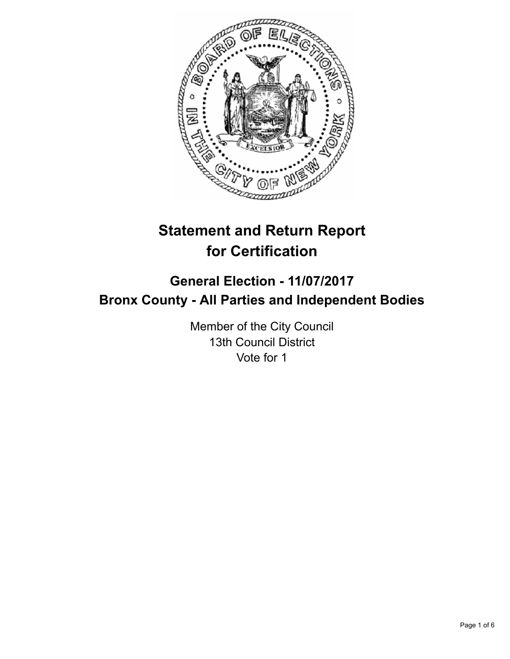

# **Statement and Return Report for Certification**

## **General Election - 11/07/2017 Bronx County - All Parties and Independent Bodies**

Member of the City Council 13th Council District Vote for 1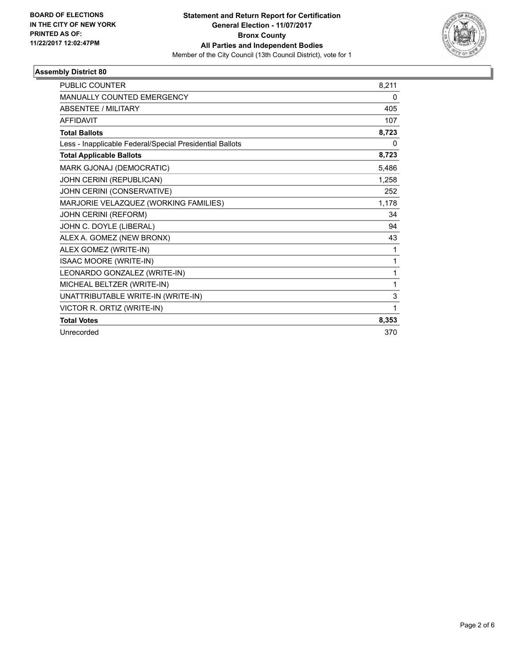

### **Assembly District 80**

| <b>PUBLIC COUNTER</b>                                    | 8,211 |
|----------------------------------------------------------|-------|
| <b>MANUALLY COUNTED EMERGENCY</b>                        | 0     |
| <b>ABSENTEE / MILITARY</b>                               | 405   |
| <b>AFFIDAVIT</b>                                         | 107   |
| <b>Total Ballots</b>                                     | 8,723 |
| Less - Inapplicable Federal/Special Presidential Ballots | 0     |
| <b>Total Applicable Ballots</b>                          | 8,723 |
| MARK GJONAJ (DEMOCRATIC)                                 | 5,486 |
| JOHN CERINI (REPUBLICAN)                                 | 1,258 |
| JOHN CERINI (CONSERVATIVE)                               | 252   |
| MARJORIE VELAZQUEZ (WORKING FAMILIES)                    | 1,178 |
| JOHN CERINI (REFORM)                                     | 34    |
| JOHN C. DOYLE (LIBERAL)                                  | 94    |
| ALEX A. GOMEZ (NEW BRONX)                                | 43    |
| ALEX GOMEZ (WRITE-IN)                                    | 1     |
| <b>ISAAC MOORE (WRITE-IN)</b>                            | 1     |
| LEONARDO GONZALEZ (WRITE-IN)                             | 1     |
| MICHEAL BELTZER (WRITE-IN)                               | 1     |
| UNATTRIBUTABLE WRITE-IN (WRITE-IN)                       | 3     |
| VICTOR R. ORTIZ (WRITE-IN)                               | 1     |
| <b>Total Votes</b>                                       | 8,353 |
| Unrecorded                                               | 370   |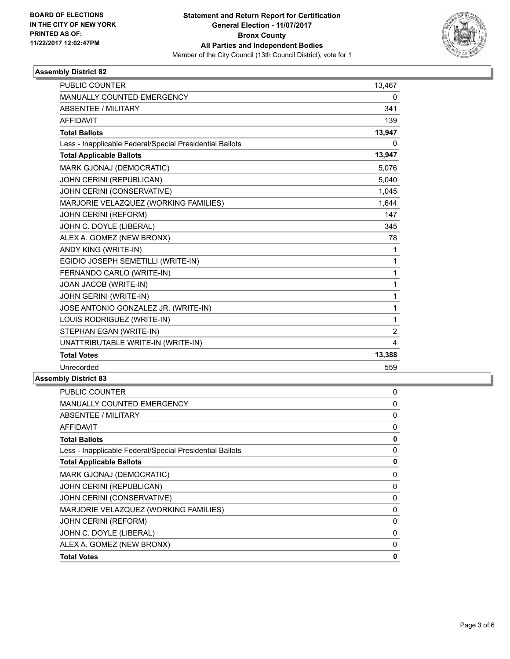

### **Assembly District 82**

| <b>PUBLIC COUNTER</b>                                    | 13,467         |
|----------------------------------------------------------|----------------|
| <b>MANUALLY COUNTED EMERGENCY</b>                        | 0              |
| <b>ABSENTEE / MILITARY</b>                               | 341            |
| <b>AFFIDAVIT</b>                                         | 139            |
| <b>Total Ballots</b>                                     | 13,947         |
| Less - Inapplicable Federal/Special Presidential Ballots | 0              |
| <b>Total Applicable Ballots</b>                          | 13,947         |
| MARK GJONAJ (DEMOCRATIC)                                 | 5,076          |
| JOHN CERINI (REPUBLICAN)                                 | 5,040          |
| JOHN CERINI (CONSERVATIVE)                               | 1,045          |
| MARJORIE VELAZQUEZ (WORKING FAMILIES)                    | 1,644          |
| JOHN CERINI (REFORM)                                     | 147            |
| JOHN C. DOYLE (LIBERAL)                                  | 345            |
| ALEX A. GOMEZ (NEW BRONX)                                | 78             |
| ANDY KING (WRITE-IN)                                     | 1              |
| EGIDIO JOSEPH SEMETILLI (WRITE-IN)                       | $\mathbf{1}$   |
| FERNANDO CARLO (WRITE-IN)                                | $\mathbf{1}$   |
| JOAN JACOB (WRITE-IN)                                    | $\mathbf{1}$   |
| JOHN GERINI (WRITE-IN)                                   | $\mathbf{1}$   |
| JOSE ANTONIO GONZALEZ JR. (WRITE-IN)                     | 1              |
| LOUIS RODRIGUEZ (WRITE-IN)                               | 1              |
| STEPHAN EGAN (WRITE-IN)                                  | $\overline{2}$ |
| UNATTRIBUTABLE WRITE-IN (WRITE-IN)                       | 4              |
| <b>Total Votes</b>                                       | 13,388         |
| Unrecorded                                               | 559            |

#### **Assembly District 83**

| <b>PUBLIC COUNTER</b>                                    | 0 |
|----------------------------------------------------------|---|
| <b>MANUALLY COUNTED EMERGENCY</b>                        | 0 |
| <b>ABSENTEE / MILITARY</b>                               | 0 |
| <b>AFFIDAVIT</b>                                         | 0 |
| <b>Total Ballots</b>                                     | 0 |
| Less - Inapplicable Federal/Special Presidential Ballots | 0 |
| <b>Total Applicable Ballots</b>                          | 0 |
| MARK GJONAJ (DEMOCRATIC)                                 | 0 |
| JOHN CERINI (REPUBLICAN)                                 | 0 |
| JOHN CERINI (CONSERVATIVE)                               | 0 |
| MARJORIE VELAZQUEZ (WORKING FAMILIES)                    | 0 |
| JOHN CERINI (REFORM)                                     | 0 |
| JOHN C. DOYLE (LIBERAL)                                  | 0 |
| ALEX A. GOMEZ (NEW BRONX)                                | 0 |
| <b>Total Votes</b>                                       | 0 |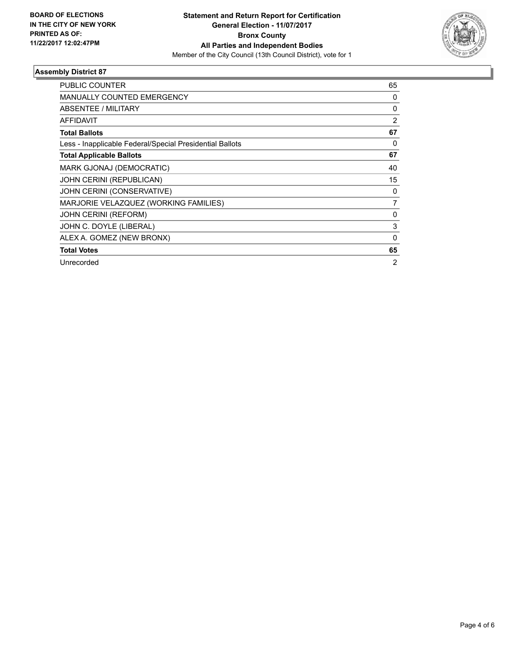

### **Assembly District 87**

| <b>PUBLIC COUNTER</b>                                    | 65             |
|----------------------------------------------------------|----------------|
| <b>MANUALLY COUNTED EMERGENCY</b>                        | 0              |
| ABSENTEE / MILITARY                                      | $\Omega$       |
| <b>AFFIDAVIT</b>                                         | 2              |
| <b>Total Ballots</b>                                     | 67             |
| Less - Inapplicable Federal/Special Presidential Ballots | 0              |
| <b>Total Applicable Ballots</b>                          | 67             |
| MARK GJONAJ (DEMOCRATIC)                                 | 40             |
| JOHN CERINI (REPUBLICAN)                                 | 15             |
| JOHN CERINI (CONSERVATIVE)                               | 0              |
| MARJORIE VELAZQUEZ (WORKING FAMILIES)                    | $\overline{7}$ |
| <b>JOHN CERINI (REFORM)</b>                              | 0              |
| JOHN C. DOYLE (LIBERAL)                                  | 3              |
| ALEX A. GOMEZ (NEW BRONX)                                | $\Omega$       |
| <b>Total Votes</b>                                       | 65             |
| Unrecorded                                               | 2              |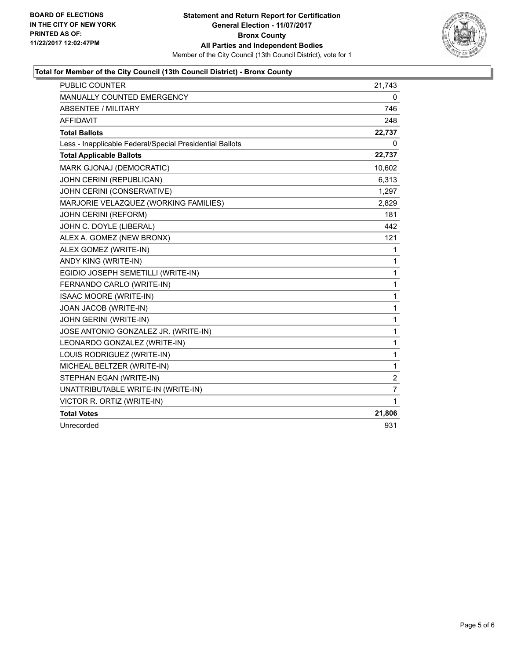

### **Total for Member of the City Council (13th Council District) - Bronx County**

| <b>PUBLIC COUNTER</b>                                    | 21,743         |
|----------------------------------------------------------|----------------|
| <b>MANUALLY COUNTED EMERGENCY</b>                        | 0              |
| <b>ABSENTEE / MILITARY</b>                               | 746            |
| <b>AFFIDAVIT</b>                                         | 248            |
| <b>Total Ballots</b>                                     | 22,737         |
| Less - Inapplicable Federal/Special Presidential Ballots | 0              |
| <b>Total Applicable Ballots</b>                          | 22,737         |
| MARK GJONAJ (DEMOCRATIC)                                 | 10,602         |
| JOHN CERINI (REPUBLICAN)                                 | 6,313          |
| JOHN CERINI (CONSERVATIVE)                               | 1,297          |
| MARJORIE VELAZQUEZ (WORKING FAMILIES)                    | 2,829          |
| <b>JOHN CERINI (REFORM)</b>                              | 181            |
| JOHN C. DOYLE (LIBERAL)                                  | 442            |
| ALEX A. GOMEZ (NEW BRONX)                                | 121            |
| ALEX GOMEZ (WRITE-IN)                                    | 1              |
| ANDY KING (WRITE-IN)                                     | 1              |
| EGIDIO JOSEPH SEMETILLI (WRITE-IN)                       | 1              |
| FERNANDO CARLO (WRITE-IN)                                | 1              |
| <b>ISAAC MOORE (WRITE-IN)</b>                            | $\mathbf{1}$   |
| JOAN JACOB (WRITE-IN)                                    | 1              |
| JOHN GERINI (WRITE-IN)                                   | 1              |
| JOSE ANTONIO GONZALEZ JR. (WRITE-IN)                     | 1              |
| LEONARDO GONZALEZ (WRITE-IN)                             | 1              |
| LOUIS RODRIGUEZ (WRITE-IN)                               | 1              |
| MICHEAL BELTZER (WRITE-IN)                               | 1              |
| STEPHAN EGAN (WRITE-IN)                                  | $\overline{2}$ |
| UNATTRIBUTABLE WRITE-IN (WRITE-IN)                       | $\overline{7}$ |
| VICTOR R. ORTIZ (WRITE-IN)                               | 1              |
| <b>Total Votes</b>                                       | 21,806         |
| Unrecorded                                               | 931            |